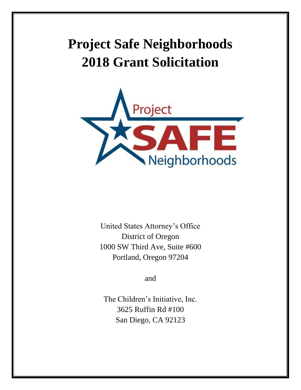# **Project Safe Neighborhoods 2018 Grant Solicitation**



United States Attorney's Office District of Oregon 1000 SW Third Ave, Suite #600 Portland, Oregon 97204

and

The Children's Initiative, Inc. 3625 Ruffin Rd #100 San Diego, CA 92123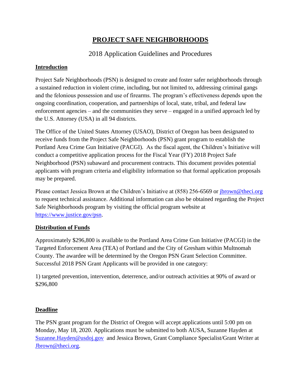# **PROJECT SAFE NEIGHBORHOODS**

# 2018 Application Guidelines and Procedures

# **Introduction**

Project Safe Neighborhoods (PSN) is designed to create and foster safer neighborhoods through a sustained reduction in violent crime, including, but not limited to, addressing criminal gangs and the felonious possession and use of firearms. The program's effectiveness depends upon the ongoing coordination, cooperation, and partnerships of local, state, tribal, and federal law enforcement agencies – and the communities they serve – engaged in a unified approach led by the U.S. Attorney (USA) in all 94 districts.

The Office of the United States Attorney (USAO), District of Oregon has been designated to receive funds from the Project Safe Neighborhoods (PSN) grant program to establish the Portland Area Crime Gun Initiative (PACGI). As the fiscal agent, the Children's Initiative will conduct a competitive application process for the Fiscal Year (FY) 2018 Project Safe Neighborhood (PSN) subaward and procurement contracts. This document provides potential applicants with program criteria and eligibility information so that formal application proposals may be prepared.

Please contact Jessica Brown at the Children's Initiative at (858) 256-6569 or [jbrown@theci.org](mailto:jbrown@theci.org) to request technical assistance. Additional information can also be obtained regarding the Project Safe Neighborhoods program by visiting the official program website at [https://www.justice.gov/psn.](https://www.justice.gov/psn)

### **Distribution of Funds**

Approximately \$296,800 is available to the Portland Area Crime Gun Initiative (PACGI) in the Targeted Enforcement Area (TEA) of Portland and the City of Gresham within Multnomah County. The awardee will be determined by the Oregon PSN Grant Selection Committee. Successful 2018 PSN Grant Applicants will be provided in one category:

1) targeted prevention, intervention, deterrence, and/or outreach activities at 90% of award or \$296,800

# **Deadline**

The PSN grant program for the District of Oregon will accept applications until 5:00 pm on Monday, May 18, 2020. Applications must be submitted to both AUSA, Suzanne Hayden at [Suzanne.Hayden@usdoj.gov](mailto:Suzanne.Hayden@usdoj.gov) and Jessica Brown, Grant Compliance Specialist/Grant Writer at [Jbrown@theci.org.](mailto:Jbrown@theci.org)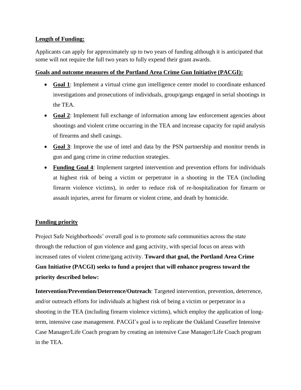## **Length of Funding:**

Applicants can apply for approximately up to two years of funding although it is anticipated that some will not require the full two years to fully expend their grant awards.

### **Goals and outcome measures of the Portland Area Crime Gun Initiative (PACGI):**

- **Goal 1**: Implement a virtual crime gun intelligence center model to coordinate enhanced investigations and prosecutions of individuals, group/gangs engaged in serial shootings in the TEA.
- **Goal 2**: Implement full exchange of information among law enforcement agencies about shootings and violent crime occurring in the TEA and increase capacity for rapid analysis of firearms and shell casings.
- **Goal 3**: Improve the use of intel and data by the PSN partnership and monitor trends in gun and gang crime in crime reduction strategies.
- **Funding Goal 4**: Implement targeted intervention and prevention efforts for individuals at highest risk of being a victim or perpetrator in a shooting in the TEA (including firearm violence victims), in order to reduce risk of re-hospitalization for firearm or assault injuries, arrest for firearm or violent crime, and death by homicide.

# **Funding priority**

Project Safe Neighborhoods' overall goal is to promote safe communities across the state through the reduction of gun violence and gang activity, with special focus on areas with increased rates of violent crime/gang activity. **Toward that goal, the Portland Area Crime Gun Initiative (PACGI) seeks to fund a project that will enhance progress toward the priority described below:**

**Intervention/Prevention/Deterrence/Outreach**: Targeted intervention, prevention, deterrence, and/or outreach efforts for individuals at highest risk of being a victim or perpetrator in a shooting in the TEA (including firearm violence victims), which employ the application of longterm, intensive case management. PACGI's goal is to replicate the Oakland Ceasefire Intensive Case Manager/Life Coach program by creating an intensive Case Manager/Life Coach program in the TEA.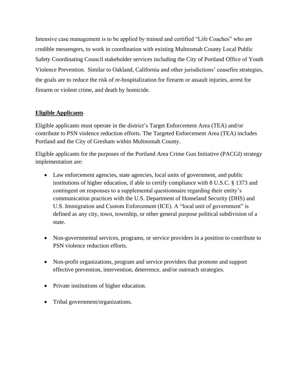Intensive case management is to be applied by trained and certified "Life Coaches" who are credible messengers, to work in coordination with existing Multnomah County Local Public Safety Coordinating Council stakeholder services including the City of Portland Office of Youth Violence Prevention. Similar to Oakland, California and other jurisdictions' ceasefire strategies, the goals are to reduce the risk of re-hospitalization for firearm or assault injuries, arrest for firearm or violent crime, and death by homicide.

# **Eligible Applicants**

Eligible applicants must operate in the district's Target Enforcement Area (TEA) and/or contribute to PSN violence reduction efforts. The Targeted Enforcement Area (TEA) includes Portland and the City of Gresham within Multnomah County.

Eligible applicants for the purposes of the Portland Area Crime Gun Initiative (PACGI) strategy implementation are:

- Law enforcement agencies, state agencies, local units of government, and public institutions of higher education, if able to certify compliance with 8 U.S.C. § 1373 and contingent on responses to a supplemental questionnaire regarding their entity's communication practices with the U.S. Department of Homeland Security (DHS) and U.S. Immigration and Custom Enforcement (ICE). A "local unit of government" is defined as any city, town, township, or other general purpose political subdivision of a state.
- Non-governmental services, programs, or service providers in a position to contribute to PSN violence reduction efforts.
- Non-profit organizations, program and service providers that promote and support effective prevention, intervention, deterrence, and/or outreach strategies.
- Private institutions of higher education.
- Tribal government/organizations.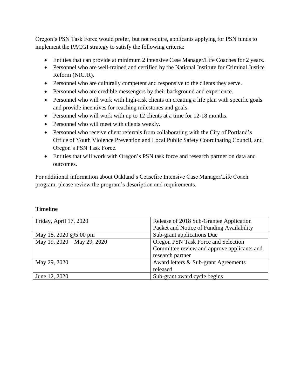Oregon's PSN Task Force would prefer, but not require, applicants applying for PSN funds to implement the PACGI strategy to satisfy the following criteria:

- Entities that can provide at minimum 2 intensive Case Manager/Life Coaches for 2 years.
- Personnel who are well-trained and certified by the National Institute for Criminal Justice Reform (NICJR).
- Personnel who are culturally competent and responsive to the clients they serve.
- Personnel who are credible messengers by their background and experience.
- Personnel who will work with high-risk clients on creating a life plan with specific goals and provide incentives for reaching milestones and goals.
- Personnel who will work with up to 12 clients at a time for 12-18 months.
- Personnel who will meet with clients weekly.
- Personnel who receive client referrals from collaborating with the City of Portland's Office of Youth Violence Prevention and Local Public Safety Coordinating Council, and Oregon's PSN Task Force.
- Entities that will work with Oregon's PSN task force and research partner on data and outcomes.

For additional information about Oakland's Ceasefire Intensive Case Manager/Life Coach program, please review the program's description and requirements.

### **Timeline**

| Friday, April 17, 2020      | Release of 2018 Sub-Grantee Application     |
|-----------------------------|---------------------------------------------|
|                             | Packet and Notice of Funding Availability   |
| May 18, 2020 @5:00 pm       | Sub-grant applications Due                  |
| May 19, 2020 - May 29, 2020 | Oregon PSN Task Force and Selection         |
|                             | Committee review and approve applicants and |
|                             | research partner                            |
| May 29, 2020                | Award letters & Sub-grant Agreements        |
|                             | released                                    |
| June 12, 2020               | Sub-grant award cycle begins                |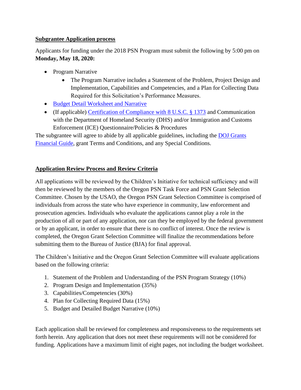### **Subgrantee Application process**

Applicants for funding under the 2018 PSN Program must submit the following by 5:00 pm on **Monday, May 18, 2020:**

- Program Narrative
	- The Program Narrative includes a Statement of the Problem, Project Design and Implementation, Capabilities and Competencies, and a Plan for Collecting Data Required for this Solicitation's Performance Measures.
- [Budget Detail Worksheet and Narrative](https://ojp.gov/funding/Apply/Forms/BudgetDetailWorksheet/BDW.XLSM)
- (If applicable) [Certification of Compliance with 8 U.S.C. § 1373](https://www.ojp.gov/funding/Explore/pdf/18PSN_1373_Subcert_govt.pdf) and Communication with the Department of Homeland Security (DHS) and/or Immigration and Customs Enforcement (ICE) Questionnaire/Policies & Procedures

The subgrantee will agree to abide by all applicable guidelines, including the [DOJ Grants](https://www.ojp.gov/financialguide/doj/pdfs/DOJ_FinancialGuide.pdf)  [Financial Guide,](https://www.ojp.gov/financialguide/doj/pdfs/DOJ_FinancialGuide.pdf) grant Terms and Conditions, and any Special Conditions.

# **Application Review Process and Review Criteria**

All applications will be reviewed by the Children's Initiative for technical sufficiency and will then be reviewed by the members of the Oregon PSN Task Force and PSN Grant Selection Committee. Chosen by the USAO, the Oregon PSN Grant Selection Committee is comprised of individuals from across the state who have experience in community, law enforcement and prosecution agencies. Individuals who evaluate the applications cannot play a role in the production of all or part of any application, nor can they be employed by the federal government or by an applicant, in order to ensure that there is no conflict of interest. Once the review is completed, the Oregon Grant Selection Committee will finalize the recommendations before submitting them to the Bureau of Justice (BJA) for final approval.

The Children's Initiative and the Oregon Grant Selection Committee will evaluate applications based on the following criteria:

- 1. Statement of the Problem and Understanding of the PSN Program Strategy (10%)
- 2. Program Design and Implementation (35%)
- 3. Capabilities/Competencies (30%)
- 4. Plan for Collecting Required Data (15%)
- 5. Budget and Detailed Budget Narrative (10%)

Each application shall be reviewed for completeness and responsiveness to the requirements set forth herein. Any application that does not meet these requirements will not be considered for funding. Applications have a maximum limit of eight pages, not including the budget worksheet.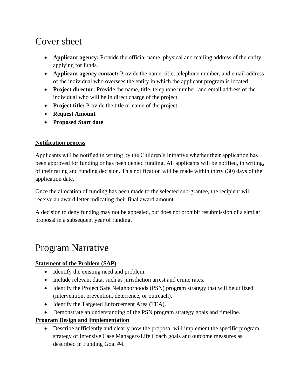# Cover sheet

- **Applicant agency:** Provide the official name, physical and mailing address of the entity applying for funds.
- **Applicant agency contact:** Provide the name, title, telephone number, and email address of the individual who oversees the entity in which the applicant program is located.
- **Project director:** Provide the name, title, telephone number, and email address of the individual who will be in direct charge of the project.
- **Project title:** Provide the title or name of the project.
- **Request Amount**
- **Proposed Start date**

# **Notification process**

Applicants will be notified in writing by the Children's Initiative whether their application has been approved for funding or has been denied funding. All applicants will be notified, in writing, of their rating and funding decision. This notification will be made within thirty (30) days of the application date.

Once the allocation of funding has been made to the selected sub-grantee, the recipient will receive an award letter indicating their final award amount.

A decision to deny funding may not be appealed, but does not prohibit resubmission of a similar proposal in a subsequent year of funding.

# Program Narrative

# **Statement of the Problem (SAP)**

- Identify the existing need and problem.
- Include relevant data, such as jurisdiction arrest and crime rates.
- Identify the Project Safe Neighborhoods (PSN) program strategy that will be utilized (intervention, prevention, deterrence, or outreach).
- Identify the Targeted Enforcement Area (TEA).
- Demonstrate an understanding of the PSN program strategy goals and timeline.

# **Program Design and Implementation**

• Describe sufficiently and clearly how the proposal will implement the specific program strategy of Intensive Case Managers/Life Coach goals and outcome measures as described in Funding Goal #4.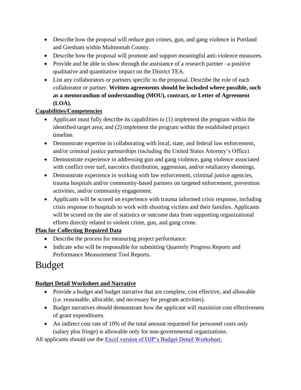- Describe how the proposal will reduce gun crimes, gun, and gang violence in Portland and Gresham within Multnomah County.
- Describe how the proposal will promote and support meaningful anti-violence measures.
- Provide and be able to show through the assistance of a research partner –a positive qualitative and quantitative impact on the District TEA.
- List any collaborators or partners specific to the proposal. Describe the role of each collaborator or partner. **Written agreements should be included where possible, such as a memorandum of understanding (MOU), contract, or Letter of Agreement (LOA).**

# **Capabilities/Competencies**

- Applicant must fully describe its capabilities to (1) implement the program within the identified target area; and (2) implement the program within the established project timeline.
- Demonstrate expertise in collaborating with local, state, and federal law enforcement, and/or criminal justice partnerships (including the United States Attorney's Office).
- Demonstrate experience in addressing gun and gang violence, gang violence associated with conflict over turf, narcotics distribution, aggression, and/or retaliatory shootings.
- Demonstrate experience in working with law enforcement, criminal justice agencies, trauma hospitals and/or community-based partners on targeted enforcement, prevention activities, and/or community engagement.
- Applicants will be scored on experience with trauma informed crisis response, including crisis response to hospitals to work with shooting victims and their families. Applicants will be scored on the use of statistics or outcome data from supporting organizational efforts directly related to violent crime, gun, and gang crime.

# **Plan for Collecting Required Data**

- Describe the process for measuring project performance.
- Indicate who will be responsible for submitting Quarterly Progress Reports and Performance Measurement Tool Reports.

# Budget

# **Budget Detail Worksheet and Narrative**

- Provide a budget and budget narrative that are complete, cost effective, and allowable (i.e. reasonable, allocable, and necessary for program activities).
- Budget narratives should demonstrate how the applicant will maximize cost effectiveness of grant expenditures.
- An indirect cost rate of 10% of the total amount requested for personnel costs only (salary plus fringe) is allowable only for non-governmental organizations.

All applicants should use the **Excel version of OJP's Budget Detail Worksheet.**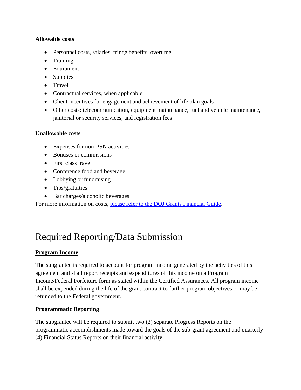### **Allowable costs**

- Personnel costs, salaries, fringe benefits, overtime
- Training
- Equipment
- Supplies
- Travel
- Contractual services, when applicable
- Client incentives for engagement and achievement of life plan goals
- Other costs: telecommunication, equipment maintenance, fuel and vehicle maintenance, janitorial or security services, and registration fees

#### **Unallowable costs**

- Expenses for non-PSN activities
- Bonuses or commissions
- First class travel
- Conference food and beverage
- Lobbying or fundraising
- Tips/gratuities
- Bar charges/alcoholic beverages

For more information on costs, [please refer to the DOJ Grants Financial Guide.](https://www.ojp.gov/financialguide/doj/pdfs/DOJ_FinancialGuide.pdf)

# Required Reporting/Data Submission

### **Program Income**

The subgrantee is required to account for program income generated by the activities of this agreement and shall report receipts and expenditures of this income on a Program Income/Federal Forfeiture form as stated within the Certified Assurances. All program income shall be expended during the life of the grant contract to further program objectives or may be refunded to the Federal government.

### **Programmatic Reporting**

The subgrantee will be required to submit two (2) separate Progress Reports on the programmatic accomplishments made toward the goals of the sub-grant agreement and quarterly (4) Financial Status Reports on their financial activity.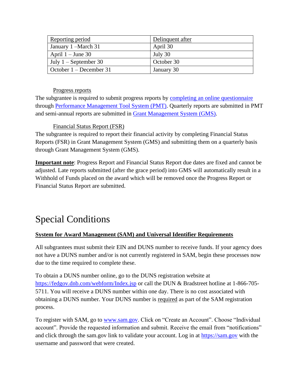| Reporting period                | Delinquent after |
|---------------------------------|------------------|
| January 1 – March 31            | April 30         |
| April $1 -$ June 30             | July 30          |
| July $1 -$ September 30         | October 30       |
| $\vert$ October 1 – December 31 | January 30       |

### Progress reports

The subgrantee is required to submit progress reports by [completing an online questionnaire](https://bjapmt.ojp.gov/help/PSNMeasures.pdf) through [Performance Management Tool System \(PMT\).](https://ojpsso.ojp.gov/index.cfm) Quarterly reports are submitted in PMT and semi-annual reports are submitted in [Grant Management System \(GMS\).](https://grants.ojp.usdoj.gov/gmsexternal/login.do)

Financial Status Report (FSR)

The subgrantee is required to report their financial activity by completing Financial Status Reports (FSR) in Grant Management System (GMS) and submitting them on a quarterly basis through Grant Management System (GMS).

**Important note**: Progress Report and Financial Status Report due dates are fixed and cannot be adjusted. Late reports submitted (after the grace period) into GMS will automatically result in a Withhold of Funds placed on the award which will be removed once the Progress Report or Financial Status Report are submitted.

# Special Conditions

# **System for Award Management (SAM) and Universal Identifier Requirements**

All subgrantees must submit their EIN and DUNS number to receive funds. If your agency does not have a DUNS number and/or is not currently registered in SAM, begin these processes now due to the time required to complete these.

To obtain a DUNS number online, go to the DUNS registration website at <https://fedgov.dnb.com/webform/Index.jsp> or call the DUN & Bradstreet hotline at 1-866-705-5711. You will receive a DUNS number within one day. There is no cost associated with obtaining a DUNS number. Your DUNS number is required as part of the SAM registration process.

To register with SAM, go to [www.sam.gov.](http://www.sam.gov/) Click on "Create an Account". Choose "Individual account". Provide the requested information and submit. Receive the email from "notifications" and click through the sam.gov link to validate your account. Log in at [https://sam.gov](https://sam.gov/) with the username and password that were created.